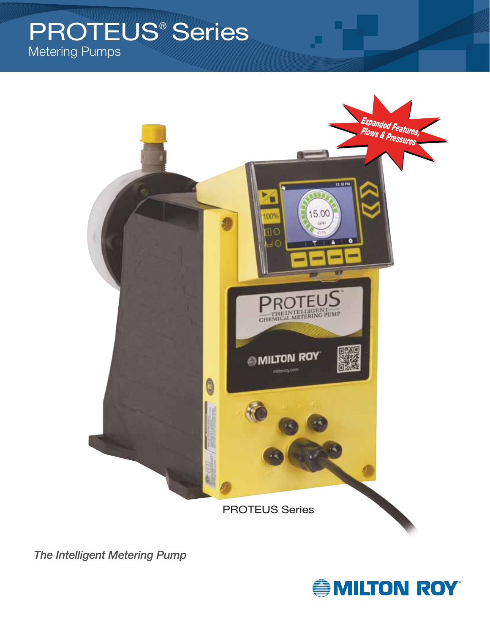## PROTEUS® SeriesMetering Pumps



*The Intelligent Metering Pump*

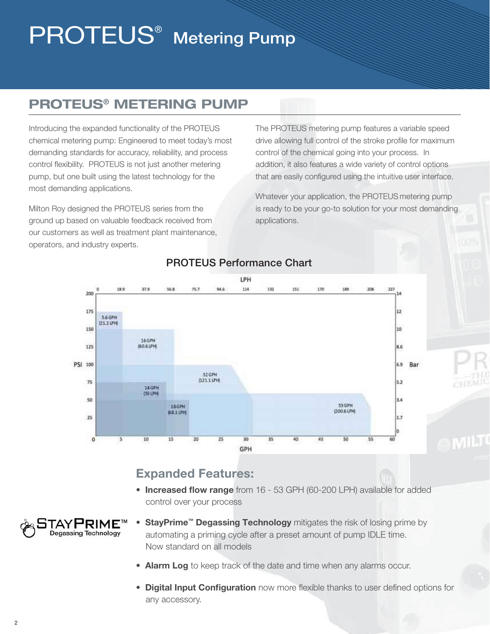# **PROTEUS<sup>®</sup>** Metering Pump

## **PROTEUS® METERING PUMP**

Introducing the expanded functionality of the PROTEUS chemical metering pump: Engineered to meet today's most demanding standards for accuracy, reliability, and process control flexibility. PROTEUS is not just another metering pump, but one built using the latest technology for the most demanding applications.

Milton Roy designed the PROTEUS series from the ground up based on valuable feedback received from our customers as well as treatment plant maintenance, operators, and industry experts.

The PROTEUS metering pump features a variable speed drive allowing full control of the stroke profile for maximum control of the chemical going into your process. In addition, it also features a wide variety of control options that are easily configured using the intuitive user interface.

Whatever your application, the PROTEUS metering pump is ready to be your go-to solution for your most demanding applications.



### PROTEUS Performance Chart

### **Expanded Features:**

• **Increased flow range** from 16 - 53 GPH (60-200 LPH) available for added control over your process



- **StayPrime™ Degassing Technology** mitigates the risk of losing prime by automating a priming cycle after a preset amount of pump IDLE time. Now standard on all models
- **Alarm Log** to keep track of the date and time when any alarms occur.
- **Digital Input Configuration** now more flexible thanks to user defined options for any accessory.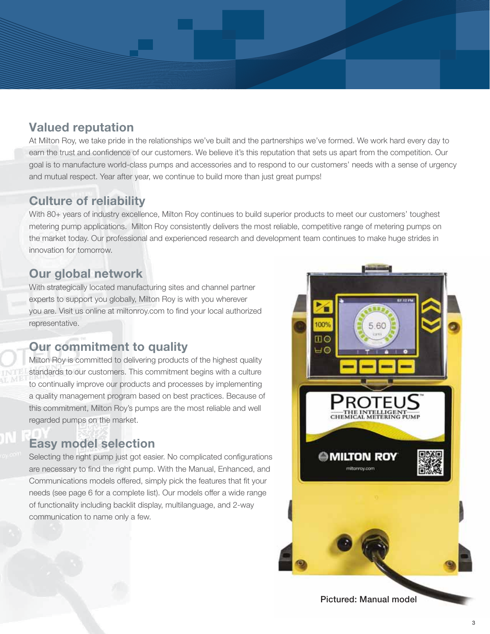### **Valued reputation**

At Milton Roy, we take pride in the relationships we've built and the partnerships we've formed. We work hard every day to earn the trust and confidence of our customers. We believe it's this reputation that sets us apart from the competition. Our goal is to manufacture world-class pumps and accessories and to respond to our customers' needs with a sense of urgency and mutual respect. Year after year, we continue to build more than just great pumps!

### **Culture of reliability**

With 80+ years of industry excellence, Milton Roy continues to build superior products to meet our customers' toughest metering pump applications. Milton Roy consistently delivers the most reliable, competitive range of metering pumps on the market today. Our professional and experienced research and development team continues to make huge strides in innovation for tomorrow.

### **Our global network**

With strategically located manufacturing sites and channel partner experts to support you globally, Milton Roy is with you wherever you are. Visit us online at miltonroy.com to find your local authorized representative.

### **Our commitment to quality**

Milton Roy is committed to delivering products of the highest quality standards to our customers. This commitment begins with a culture to continually improve our products and processes by implementing a quality management program based on best practices. Because of this commitment, Milton Roy's pumps are the most reliable and well regarded pumps on the market.

### **Easy model selection**

Selecting the right pump just got easier. No complicated configurations are necessary to find the right pump. With the Manual, Enhanced, and Communications models offered, simply pick the features that fit your needs (see page 6 for a complete list). Our models offer a wide range of functionality including backlit display, multilanguage, and 2-way communication to name only a few.

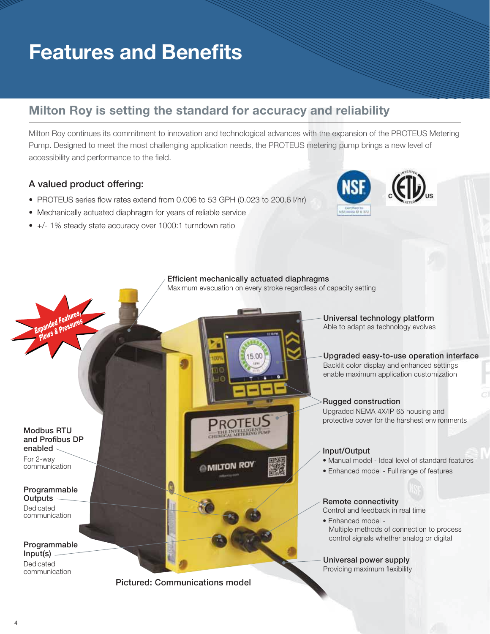## **Features and Benefits**

### **Milton Roy is setting the standard for accuracy and reliability**

Milton Roy continues its commitment to innovation and technological advances with the expansion of the PROTEUS Metering Pump. Designed to meet the most challenging application needs, the PROTEUS metering pump brings a new level of accessibility and performance to the field.

#### A valued product offering:

- PROTEUS series flow rates extend from 0.006 to 53 GPH (0.023 to 200.6 l/hr)
- Mechanically actuated diaphragm for years of reliable service
- +/- 1% steady state accuracy over 1000:1 turndown ratio



#### Efficient mechanically actuated diaphragms

15.00

Maximum evacuation on every stroke regardless of capacity setting

#### Modbus RTU and Profibus DP enabled

**Expanded Features,** *Reserves* **Flows & Pressures**

For 2-way communication

#### Programmable **Outputs** Dedicated communication

Programmable Input(s) Dedicated communication

**MILTON ROY** 

**ROTE** THE INTELLIGENT



Pictured: Communications model

Đ

Universal technology platform Able to adapt as technology evolves

Upgraded easy-to-use operation interface Backlit color display and enhanced settings enable maximum application customization

### Rugged construction

Upgraded NEMA 4X/IP 65 housing and protective cover for the harshest environments

#### Input/Output

- Manual model Ideal level of standard features
- Enhanced model Full range of features

### Remote connectivity

Control and feedback in real time

• Enhanced model - Multiple methods of connection to process control signals whether analog or digital

Universal power supply Providing maximum flexibility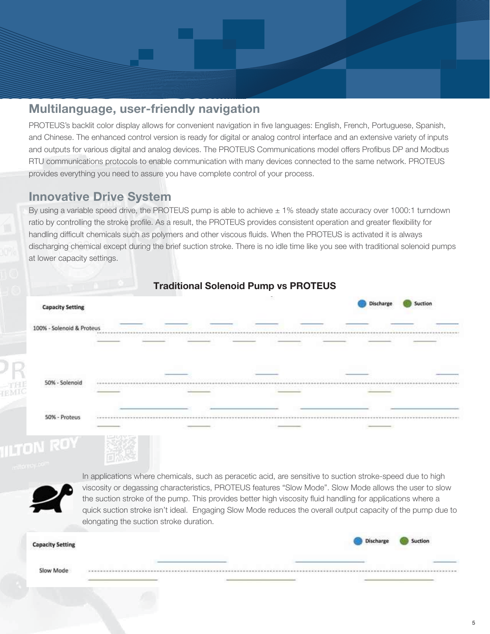

### **Multilanguage, user-friendly navigation**

PROTEUS's backlit color display allows for convenient navigation in five languages: English, French, Portuguese, Spanish, and Chinese. The enhanced control version is ready for digital or analog control interface and an extensive variety of inputs and outputs for various digital and analog devices. The PROTEUS Communications model offers Profibus DP and Modbus RTU communications protocols to enable communication with many devices connected to the same network. PROTEUS provides everything you need to assure you have complete control of your process.

### **Innovative Drive System**

By using a variable speed drive, the PROTEUS pump is able to achieve ± 1% steady state accuracy over 1000:1 turndown ratio by controlling the stroke profile. As a result, the PROTEUS provides consistent operation and greater flexibility for handling difficult chemicals such as polymers and other viscous fluids. When the PROTEUS is activated it is always discharging chemical except during the brief suction stroke. There is no idle time like you see with traditional solenoid pumps at lower capacity settings.





In applications where chemicals, such as peracetic acid, are sensitive to suction stroke-speed due to high viscosity or degassing characteristics, PROTEUS features "Slow Mode". Slow Mode allows the user to slow the suction stroke of the pump. This provides better high viscosity fluid handling for applications where a quick suction stroke isn't ideal. Engaging Slow Mode reduces the overall output capacity of the pump due to elongating the suction stroke duration.

| <b>Capacity Setting</b> | Discharge |  |
|-------------------------|-----------|--|
|                         |           |  |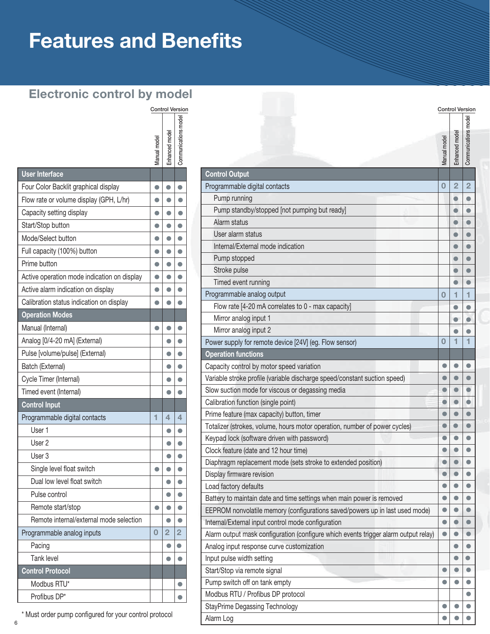## **Features and Benefits**

### **Electronic control by model**

|                                             | Manual model   | Enhanced mode  | Communications model |
|---------------------------------------------|----------------|----------------|----------------------|
| <b>User Interface</b>                       |                |                |                      |
| Four Color Backlit graphical display        | $\bullet$      | $\bullet$      | $\bullet$            |
| Flow rate or volume display (GPH, L/hr)     | $\bullet$      | $\bullet$      | $\bullet$            |
| Capacity setting display                    |                | $\bullet$      | $\bullet$            |
| Start/Stop button                           |                | $\bullet$      | $\bullet$            |
| Mode/Select button                          | $\bullet$      | $\bullet$      | $\bullet$            |
| Full capacity (100%) button                 |                | $\bullet$      | $\bullet$            |
| Prime button                                | $\bullet$      | $\bullet$      | $\bullet$            |
| Active operation mode indication on display | $\bullet$      | $\bullet$      | $\bullet$            |
| Active alarm indication on display          | $\bullet$      | O              | $\bullet$            |
| Calibration status indication on display    |                | $\bullet$      | $\bullet$            |
| <b>Operation Modes</b>                      |                |                |                      |
| Manual (Internal)                           | 0              |                | $\bullet$            |
| Analog [0/4-20 mA] (External)               |                | $\bullet$      | $\bullet$            |
| Pulse [volume/pulse] (External)             |                | $\bullet$      | $\bullet$            |
| Batch (External)                            |                | 0              | $\bullet$            |
| Cycle Timer (Internal)                      |                | 0              | $\bullet$            |
| Timed event (Internal)                      |                | $\bullet$      | $\bullet$            |
| <b>Control Input</b>                        |                |                |                      |
| Programmable digital contacts               | 1              | 4              | 4                    |
| User 1                                      |                | $\bullet$      | $\bullet$            |
| User <sub>2</sub>                           |                | $\bullet$      | $\bullet$            |
| User 3                                      |                | O              | $\bullet$            |
| Single level float switch                   | $\bullet$      | O              | 0                    |
| Dual low level float switch                 |                | O              |                      |
| Pulse control                               |                | $\bullet$      | $\bullet$            |
| Remote start/stop                           | $\bullet$      | $\bullet$      | $\bullet$            |
| Remote internal/external mode selection     |                | $\bullet$      | $\bullet$            |
| Programmable analog inputs                  | $\overline{0}$ | $\overline{2}$ | $\overline{2}$       |
| Pacing                                      |                | $\bullet$      | $\bullet$            |
| <b>Tank level</b>                           |                | $\bullet$      | $\bullet$            |
| <b>Control Protocol</b>                     |                |                |                      |
| Modbus RTU*                                 |                |                | $\bullet$            |
| Profibus DP*                                |                |                | O                    |

|              | <b>Control Version</b>                |                      | <b>Control Version</b>                                                              |              |                |                      |
|--------------|---------------------------------------|----------------------|-------------------------------------------------------------------------------------|--------------|----------------|----------------------|
| Manual model | Enhanced model                        | Communications model |                                                                                     | Manual model | Enhanced model | Communications model |
|              |                                       |                      | <b>Control Output</b>                                                               |              |                |                      |
|              |                                       |                      | Programmable digital contacts                                                       | 0            | $\overline{2}$ | $\overline{2}$       |
|              | O                                     |                      | Pump running                                                                        |              |                |                      |
|              |                                       |                      | Pump standby/stopped [not pumping but ready]                                        |              |                |                      |
|              | $\bullet$                             |                      | Alarm status                                                                        |              |                |                      |
|              |                                       |                      | User alarm status                                                                   |              |                |                      |
|              |                                       |                      | Internal/External mode indication                                                   |              |                |                      |
|              |                                       |                      | Pump stopped                                                                        |              |                |                      |
|              | $\bullet$                             |                      | Stroke pulse                                                                        |              |                |                      |
|              |                                       |                      | Timed event running                                                                 |              |                |                      |
|              |                                       |                      | Programmable analog output                                                          | O            | 1              |                      |
|              |                                       |                      | Flow rate [4-20 mA correlates to 0 - max capacity]                                  |              | 0              |                      |
|              |                                       |                      | Mirror analog input 1                                                               |              | 0              |                      |
|              |                                       |                      | Mirror analog input 2                                                               |              |                |                      |
|              | $\bullet$                             |                      | Power supply for remote device [24V] (eg. Flow sensor)                              | 0            | 1              |                      |
|              |                                       |                      | <b>Operation functions</b>                                                          |              |                |                      |
|              |                                       |                      | Capacity control by motor speed variation                                           |              |                |                      |
|              | $\bullet$                             |                      | Variable stroke profile (variable discharge speed/constant suction speed)           |              |                |                      |
|              | 0                                     |                      | Slow suction mode for viscous or degassing media                                    |              |                |                      |
|              |                                       |                      | Calibration function (single point)                                                 |              |                |                      |
|              | 4                                     | 4                    | Prime feature (max capacity) button, timer                                          |              |                |                      |
|              | $\bullet$                             |                      | Totalizer (strokes, volume, hours motor operation, number of power cycles)          |              |                |                      |
|              |                                       |                      | Keypad lock (software driven with password)                                         |              |                |                      |
|              |                                       |                      | Clock feature (date and 12 hour time)                                               |              |                |                      |
|              |                                       |                      | Diaphragm replacement mode (sets stroke to extended position)                       |              |                |                      |
|              |                                       |                      | Display firmware revision                                                           |              |                |                      |
|              |                                       |                      | Load factory defaults                                                               |              |                |                      |
|              | 0                                     |                      | Battery to maintain date and time settings when main power is removed               |              |                |                      |
|              |                                       |                      | EEPROM nonvolatile memory (configurations saved/powers up in last used mode)        |              |                |                      |
|              |                                       |                      | Internal/External input control mode configuration                                  | O            |                |                      |
| 0            | $\overline{2}$                        | 2                    | Alarm output mask configuration (configure which events trigger alarm output relay) |              |                |                      |
|              | $\bullet$                             |                      | Analog input response curve customization                                           |              |                |                      |
|              |                                       |                      | Input pulse width setting                                                           |              |                |                      |
|              |                                       |                      | Start/Stop via remote signal                                                        |              |                |                      |
|              |                                       |                      | Pump switch off on tank empty                                                       |              |                |                      |
|              |                                       |                      | Modbus RTU / Profibus DP protocol                                                   |              |                |                      |
|              | <b>StayPrime Degassing Technology</b> |                      |                                                                                     |              |                |                      |
| protocol     |                                       |                      | Alarm Log                                                                           |              |                |                      |

\* Must order pump configured for your control protocol

6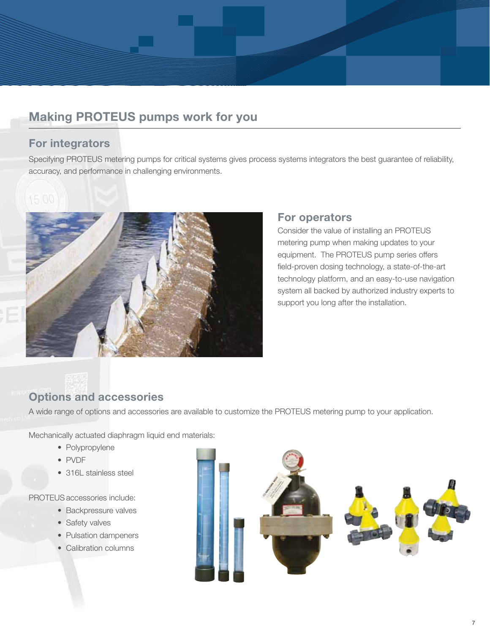

### **Making PROTEUS pumps work for you**

### **For integrators**

Specifying PROTEUS metering pumps for critical systems gives process systems integrators the best guarantee of reliability, accuracy, and performance in challenging environments.



### **For operators**

Consider the value of installing an PROTEUS metering pump when making updates to your equipment. The PROTEUS pump series offers field-proven dosing technology, a state-of-the-art technology platform, and an easy-to-use navigation system all backed by authorized industry experts to support you long after the installation.

### **Options and accessories**

A wide range of options and accessories are available to customize the PROTEUS metering pump to your application.

Mechanically actuated diaphragm liquid end materials:

- Polypropylene
- PVDF
- 316L stainless steel

PROTEUS accessories include:

- Backpressure valves
- Safety valves
- Pulsation dampeners
- Calibration columns